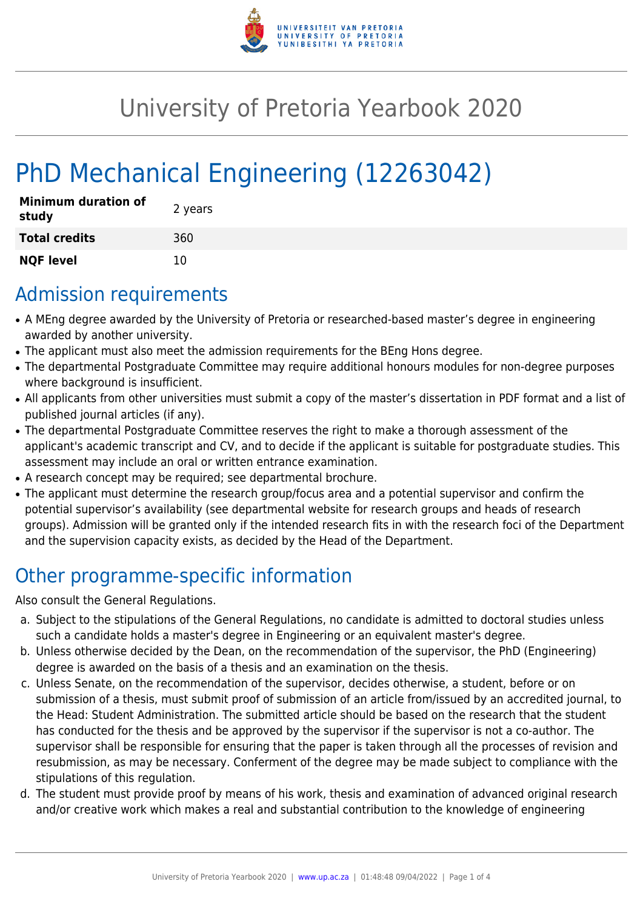

## University of Pretoria Yearbook 2020

# PhD Mechanical Engineering (12263042)

| <b>Minimum duration of</b><br>study | 2 years |
|-------------------------------------|---------|
| <b>Total credits</b>                | 360     |
| <b>NQF level</b>                    | 10      |

## Admission requirements

- A MEng degree awarded by the University of Pretoria or researched-based master's degree in engineering awarded by another university.
- The applicant must also meet the admission requirements for the BEng Hons degree.
- The departmental Postgraduate Committee may require additional honours modules for non-degree purposes where background is insufficient.
- All applicants from other universities must submit a copy of the master's dissertation in PDF format and a list of published journal articles (if any).
- The departmental Postgraduate Committee reserves the right to make a thorough assessment of the applicant's academic transcript and CV, and to decide if the applicant is suitable for postgraduate studies. This assessment may include an oral or written entrance examination.
- A research concept may be required; see departmental brochure.
- The applicant must determine the research group/focus area and a potential supervisor and confirm the potential supervisor's availability (see departmental website for research groups and heads of research groups). Admission will be granted only if the intended research fits in with the research foci of the Department and the supervision capacity exists, as decided by the Head of the Department.

## Other programme-specific information

Also consult the General Regulations.

- a. Subject to the stipulations of the General Regulations, no candidate is admitted to doctoral studies unless such a candidate holds a master's degree in Engineering or an equivalent master's degree.
- b. Unless otherwise decided by the Dean, on the recommendation of the supervisor, the PhD (Engineering) degree is awarded on the basis of a thesis and an examination on the thesis.
- c. Unless Senate, on the recommendation of the supervisor, decides otherwise, a student, before or on submission of a thesis, must submit proof of submission of an article from/issued by an accredited journal, to the Head: Student Administration. The submitted article should be based on the research that the student has conducted for the thesis and be approved by the supervisor if the supervisor is not a co-author. The supervisor shall be responsible for ensuring that the paper is taken through all the processes of revision and resubmission, as may be necessary. Conferment of the degree may be made subject to compliance with the stipulations of this regulation.
- d. The student must provide proof by means of his work, thesis and examination of advanced original research and/or creative work which makes a real and substantial contribution to the knowledge of engineering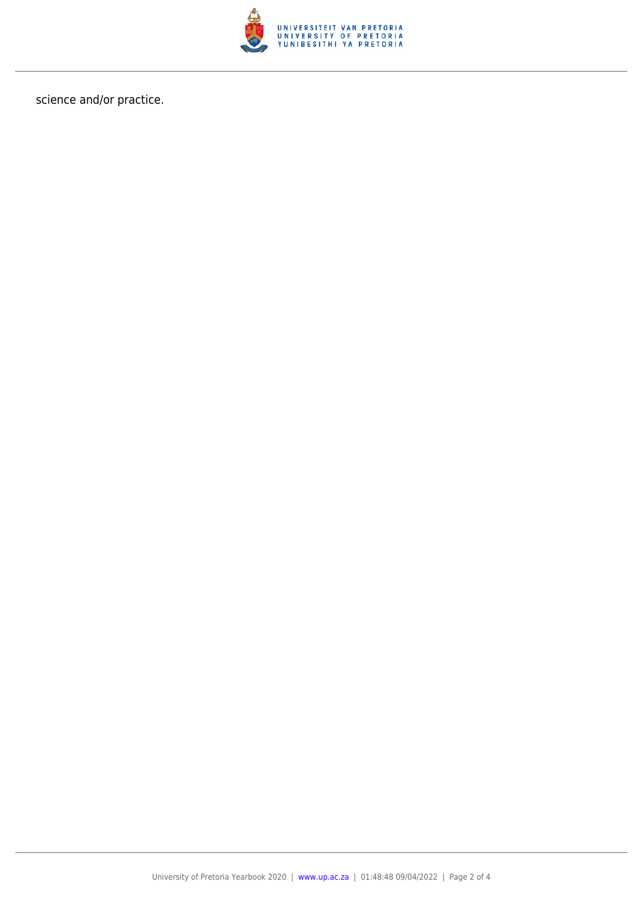

science and/or practice.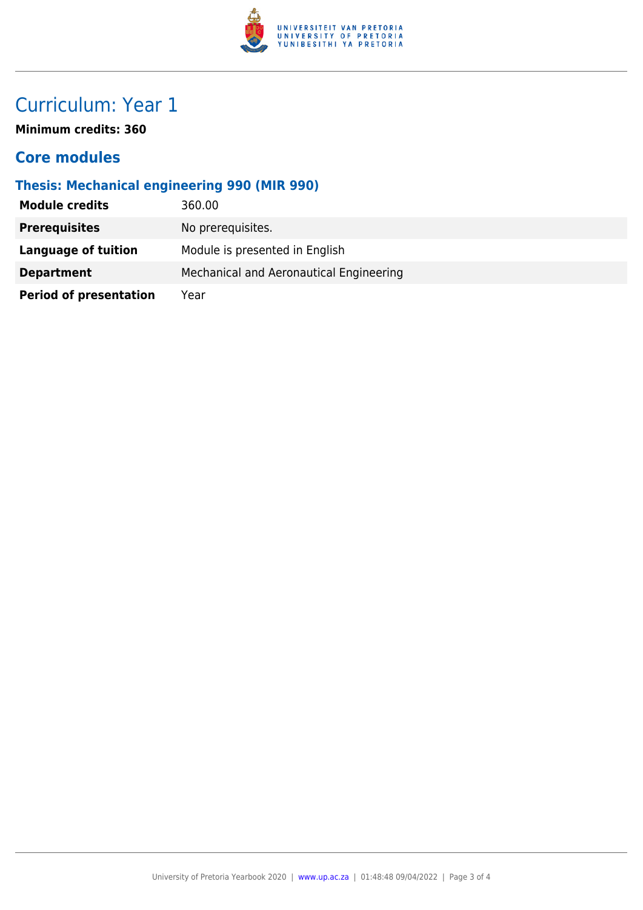

## Curriculum: Year 1

**Minimum credits: 360**

#### **Core modules**

#### **Thesis: Mechanical engineering 990 (MIR 990)**

| <b>Module credits</b>         | 360.00                                  |
|-------------------------------|-----------------------------------------|
| <b>Prerequisites</b>          | No prerequisites.                       |
| Language of tuition           | Module is presented in English          |
| <b>Department</b>             | Mechanical and Aeronautical Engineering |
| <b>Period of presentation</b> | Year                                    |